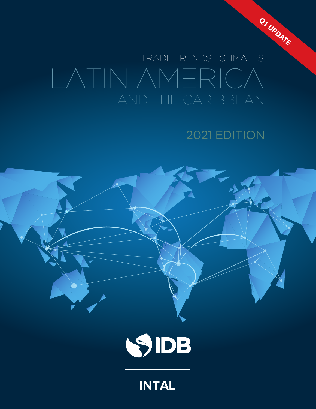

# LATIN AMERICA TRADE TRENDS ESTIMATES

# 2021 EDITION



# **INTAL**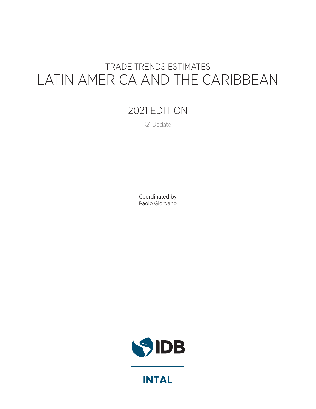# TRADE TRENDS ESTIMATES LATIN AMERICA AND THE CARIBBEAN

## 2021 EDITION

Q1 Update

Coordinated by Paolo Giordano



**INTAL**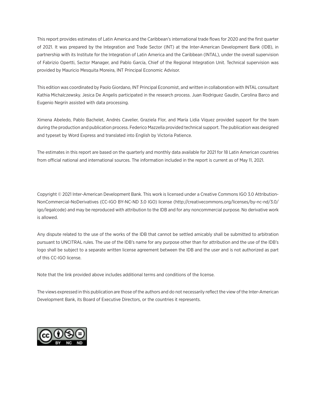This report provides estimates of Latin America and the Caribbean's international trade flows for 2020 and the first quarter of 2021. It was prepared by the Integration and Trade Sector (INT) at the Inter-American Development Bank (IDB), in partnership with its Institute for the Integration of Latin America and the Caribbean (INTAL), under the overall supervision of Fabrizio Opertti, Sector Manager, and Pablo García, Chief of the Regional Integration Unit. Technical supervision was provided by Mauricio Mesquita Moreira, INT Principal Economic Advisor.

This edition was coordinated by Paolo Giordano, INT Principal Economist, and written in collaboration with INTAL consultant Kathia Michalczewsky. Jesica De Angelis participated in the research process. Juan Rodriguez Gaudín, Carolina Barco and Eugenio Negrín assisted with data processing.

Ximena Abeledo, Pablo Bachelet, Andrés Cavelier, Graziela Flor, and María Lidia Víquez provided support for the team during the production and publication process. Federico Mazzella provided technical support. The publication was designed and typeset by Word Express and translated into English by Victoria Patience.

The estimates in this report are based on the quarterly and monthly data available for 2021 for 18 Latin American countries from official national and international sources. The information included in the report is current as of May 11, 2021.

Copyright © 2021 Inter-American Development Bank. This work is licensed under a Creative Commons IGO 3.0 Attribution-NonCommercial-NoDerivatives (CC-IGO BY-NC-ND 3.0 IGO) license ([http://creativecommons.org/licenses/by-nc-nd/3.0/](http://creativecommons.org/licenses/by-nc-nd/3.0/igo/legalcode) [igo/legalcode](http://creativecommons.org/licenses/by-nc-nd/3.0/igo/legalcode)) and may be reproduced with attribution to the IDB and for any noncommercial purpose. No derivative work is allowed.

Any dispute related to the use of the works of the IDB that cannot be settled amicably shall be submitted to arbitration pursuant to UNCITRAL rules. The use of the IDB's name for any purpose other than for attribution and the use of the IDB's logo shall be subject to a separate written license agreement between the IDB and the user and is not authorized as part of this CC-IGO license.

Note that the link provided above includes additional terms and conditions of the license.

The views expressed in this publication are those of the authors and do not necessarily reflect the view of the Inter-American Development Bank, its Board of Executive Directors, or the countries it represents.

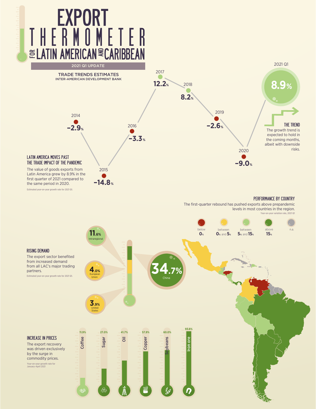

Estimated year-on-year growth rate for 2021 Q1.

#### PERFORMANCE BY COUNTRY

The first-quarter rebound has pushed exports above prepandemic levels in most countries in the region. Year-on-year variation rate, 2021 Q1

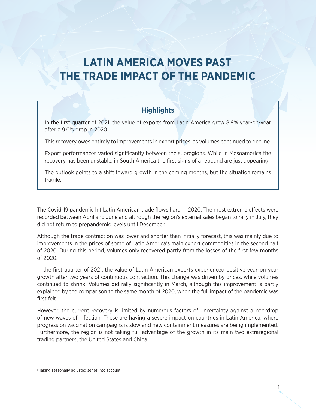# **LATIN AMERICA MOVES PAST THE TRADE IMPACT OF THE PANDEMIC**

### **Highlights**

In the first quarter of 2021, the value of exports from Latin America grew 8.9% year-on-year after a 9.0% drop in 2020.

This recovery owes entirely to improvements in export prices, as volumes continued to decline.

Export performances varied significantly between the subregions. While in Mesoamerica the recovery has been unstable, in South America the first signs of a rebound are just appearing.

The outlook points to a shift toward growth in the coming months, but the situation remains fragile.

The Covid-19 pandemic hit Latin American trade flows hard in 2020. The most extreme effects were recorded between April and June and although the region's external sales began to rally in July, they did not return to prepandemic levels until December.<sup>1</sup>

Although the trade contraction was lower and shorter than initially forecast, this was mainly due to improvements in the prices of some of Latin America's main export commodities in the second half of 2020. During this period, volumes only recovered partly from the losses of the first few months of 2020.

In the first quarter of 2021, the value of Latin American exports experienced positive year-on-year growth after two years of continuous contraction. This change was driven by prices, while volumes continued to shrink. Volumes did rally significantly in March, although this improvement is partly explained by the comparison to the same month of 2020, when the full impact of the pandemic was first felt.

However, the current recovery is limited by numerous factors of uncertainty against a backdrop of new waves of infection. These are having a severe impact on countries in Latin America, where progress on vaccination campaigns is slow and new containment measures are being implemented. Furthermore, the region is not taking full advantage of the growth in its main two extraregional trading partners, the United States and China.

<sup>1</sup> Taking seasonally adjusted series into account.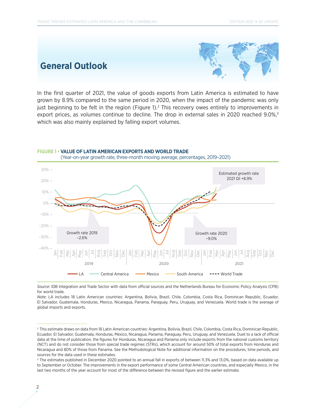### **General Outlook**



In the first quarter of 2021, the value of goods exports from Latin America is estimated to have grown by 8.9% compared to the same period in 2020, when the impact of the pandemic was only just beginning to be felt in the region (Figure 1).<sup>2</sup> This recovery owes entirely to improvements in export prices, as volumes continue to decline. The drop in external sales in 2020 reached 9.0%,<sup>3</sup> which was also mainly explained by falling export volumes.



*Source*: IDB Integration and Trade Sector with data from official sources and the Netherlands Bureau for Economic Policy Analysis (CPB) for world trade.

*Note*: LA includes 18 Latin American countries: Argentina, Bolivia, Brazil, Chile, Colombia, Costa Rica, Dominican Republic, Ecuador, El Salvador, Guatemala, Honduras, Mexico, Nicaragua, Panama, Paraguay, Peru, Uruguay, and Venezuela. World trade is the average of global imports and exports.

<sup>2</sup> This estimate draws on data from 18 Latin American countries: Argentina, Bolivia, Brazil, Chile, Colombia, Costa Rica, Dominican Republic, Ecuador, El Salvador, Guatemala, Honduras, Mexico, Nicaragua, Panama, Paraguay, Peru, Uruguay, and Venezuela. Duet to a lack of official data at the time of publication, the figures for Honduras, Nicaragua and Panama only include exports from the national customs territory (NCT) and do not consider those from special trade regimes (STRs), which account for around 50% of total exports from Honduras and Nicaragua and 80% of those from Panama. See the Methodological Note for additional information on the procedures, time periods, and sources for the data used in these estimates.

<sup>&</sup>lt;sup>3</sup> The estimates published in December 2020 pointed to an annual fall in exports of between 11.3% and 13.0%, based on data available up to September or October. The improvements in the export performance of some Central American countries, and especially Mexico, in the last two months of the year account for most of the difference between the revised figure and the earlier estimate.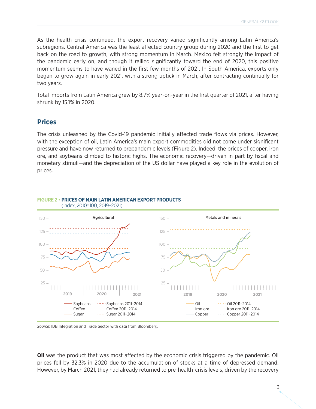As the health crisis continued, the export recovery varied significantly among Latin America's subregions. Central America was the least affected country group during 2020 and the first to get back on the road to growth, with strong momentum in March. Mexico felt strongly the impact of the pandemic early on, and though it rallied significantly toward the end of 2020, this positive momentum seems to have waned in the first few months of 2021. In South America, exports only began to grow again in early 2021, with a strong uptick in March, after contracting continually for two years.

Total imports from Latin America grew by 8.7% year-on-year in the first quarter of 2021, after having shrunk by 15.1% in 2020.

#### **Prices**

The crisis unleashed by the Covid-19 pandemic initially affected trade flows via prices. However, with the exception of oil, Latin America's main export commodities did not come under significant pressure and have now returned to prepandemic levels (Figure 2). Indeed, the prices of copper, iron ore, and soybeans climbed to historic highs. The economic recovery—driven in part by fiscal and monetary stimuli—and the depreciation of the US dollar have played a key role in the evolution of prices.



#### **FIGURE 2 • PRICES OF MAIN LATIN AMERICAN EXPORT PRODUCTS**

*Source*: IDB Integration and Trade Sector with data from Bloomberg.

**Oil** was the product that was most affected by the economic crisis triggered by the pandemic. Oil prices fell by 32.3% in 2020 due to the accumulation of stocks at a time of depressed demand. However, by March 2021, they had already returned to pre-health-crisis levels, driven by the recovery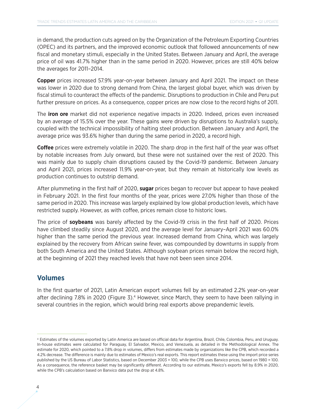in demand, the production cuts agreed on by the Organization of the Petroleum Exporting Countries (OPEC) and its partners, and the improved economic outlook that followed announcements of new fiscal and monetary stimuli, especially in the United States. Between January and April, the average price of oil was 41.7% higher than in the same period in 2020. However, prices are still 40% below the averages for 2011–2014.

**Copper** prices increased 57.9% year-on-year between January and April 2021. The impact on these was lower in 2020 due to strong demand from China, the largest global buyer, which was driven by fiscal stimuli to counteract the effects of the pandemic. Disruptions to production in Chile and Peru put further pressure on prices. As a consequence, copper prices are now close to the record highs of 2011.

The **iron ore** market did not experience negative impacts in 2020. Indeed, prices even increased by an average of 15.5% over the year. These gains were driven by disruptions to Australia's supply, coupled with the technical impossibility of halting steel production. Between January and April, the average price was 93.6% higher than during the same period in 2020, a record high.

**Coffee** prices were extremely volatile in 2020. The sharp drop in the first half of the year was offset by notable increases from July onward, but these were not sustained over the rest of 2020. This was mainly due to supply chain disruptions caused by the Covid-19 pandemic. Between January and April 2021, prices increased 11.9% year-on-year, but they remain at historically low levels as production continues to outstrip demand.

After plummeting in the first half of 2020, **sugar** prices began to recover but appear to have peaked in February 2021. In the first four months of the year, prices were 27.0% higher than those of the same period in 2020. This increase was largely explained by low global production levels, which have restricted supply. However, as with coffee, prices remain close to historic lows.

The price of **soybeans** was barely affected by the Covid-19 crisis in the first half of 2020. Prices have climbed steadily since August 2020, and the average level for January–April 2021 was 60.0% higher than the same period the previous year. Increased demand from China, which was largely explained by the recovery from African swine fever, was compounded by downturns in supply from both South America and the United States. Although soybean prices remain below the record high, at the beginning of 2021 they reached levels that have not been seen since 2014.

#### **Volumes**

In the first quarter of 2021, Latin American export volumes fell by an estimated 2.2% year-on-year after declining 7.8% in 2020 (Figure 3).<sup>4</sup> However, since March, they seem to have been rallying in several countries in the region, which would bring real exports above prepandemic levels.

<sup>4</sup> Estimates of the volumes exported by Latin America are based on official data for Argentina, Brazil, Chile, Colombia, Peru, and Uruguay. In-house estimates were calculated for Paraguay, El Salvador, Mexico, and Venezuela, as detailed in the Methodological Annex. The estimate for 2020, which pointed to a 7.8% drop in volumes, differs from estimates made by organizations like the CPB, which recorded a 4.2% decrease. The difference is mainly due to estimates of Mexico's real exports. This report estimates these using the import price series published by the US Bureau of Labor Statistics, based on December 2003 = 100, while the CPB uses Banxico prices, based on 1980 = 100. As a consequence, the reference basket may be significantly different. According to our estimate, Mexico's exports fell by 8.9% in 2020, while the CPB's calculation based on Banxico data put the drop at 4.8%.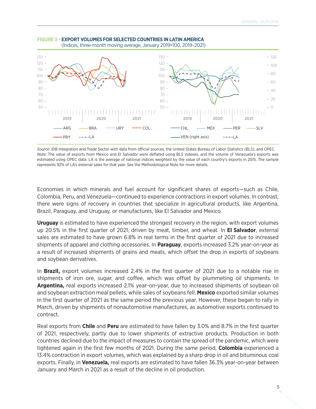

#### **FIGURE 3 • EXPORT VOLUMES FOR SELECTED COUNTRIES IN LATIN AMERICA** (Indices, three-month moving average, January 2019=100, 2019–2021)

*Source*: IDB Integration and Trade Sector with data from official sources, the United States Bureau of Labor Statistics (BLS), and OPEC. *Note*: The value of exports from Mexico and El Salvador were deflated using BLS indexes, and the volume of Venezuela's exports was estimated using OPEC data. LA is the average of national indices weighted by the value of each country's exports in 2015. The sample represents 92% of LA's external sales for that year. See the Methodological Note for more details.

Economies in which minerals and fuel account for significant shares of exports—such as Chile, Colombia, Peru, and Venezuela—continued to experience contractions in export volumes. In contrast, there were signs of recovery in countries that specialize in agricultural products, like Argentina, Brazil, Paraguay, and Uruguay, or manufactures, like El Salvador and Mexico.

**Uruguay** is estimated to have experienced the strongest recovery in the region, with export volumes up 20.5% in the first quarter of 2021, driven by meat, timber, and wheat. In **El Salvador**, external sales are estimated to have grown 6.8% in real terms in the first quarter of 2021 due to increased shipments of apparel and clothing accessories. In **Paraguay**, exports increased 3.2% year-on-year as a result of increased shipments of grains and meats, which offset the drop in exports of soybeans and soybean derivatives.

In **Brazil,** export volumes increased 2.4% in the first quarter of 2021 due to a notable rise in shipments of iron ore, sugar, and coffee, which was offset by plummeting oil shipments. In **Argentina,** real exports increased 2.1% year-on-year, due to increased shipments of soybean oil and soybean extraction meal pellets, while sales of soybeans fell. **Mexico** exported similar volumes in the first quarter of 2021 as the same period the previous year. However, these began to rally in March, driven by shipments of nonautomotive manufactures, as automotive exports continued to contract.

Real exports from **Chile** and **Peru** are estimated to have fallen by 3.0% and 8.7% in the first quarter of 2021, respectively, partly due to lower shipments of extractive products. Production in both countries declined due to the impact of measures to contain the spread of the pandemic, which were tightened again in the first few months of 2021. During the same period, **Colombia** experienced a 13.4% contraction in export volumes, which was explained by a sharp drop in oil and bituminous coal exports. Finally, in **Venezuela,** real exports are estimated to have fallen 36.3% year-on-year between January and March in 2021 as a result of the decline in oil production.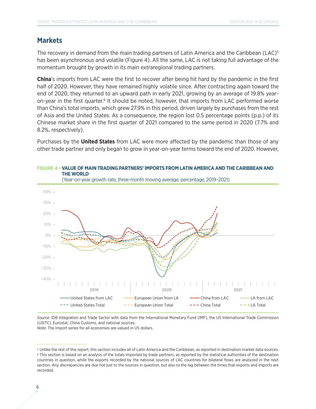#### **Markets**

The recovery in demand from the main trading partners of Latin America and the Caribbean (LAC)<sup>5</sup> has been asynchronous and volatile (Figure 4). All the same, LAC is not taking full advantage of the momentum brought by growth in its main extraregional trading partners.

**China**'s imports from LAC were the first to recover after being hit hard by the pandemic in the first half of 2020. However, they have remained highly volatile since. After contracting again toward the end of 2020, they returned to an upward path in early 2021, growing by an average of 19.8% yearon-year in the first quarter.<sup>6</sup> It should be noted, however, that imports from LAC performed worse than China's total imports, which grew 27.9% in this period, driven largely by purchases from the rest of Asia and the United States. As a consequence, the region lost 0.5 percentage points (p.p.) of its Chinese market share in the first quarter of 2021 compared to the same period in 2020 (7.7% and 8.2%, respectively).

Purchases by the **United States** from LAC were more affected by the pandemic than those of any other trade partner and only began to grow in year-on-year terms toward the end of 2020. However,



# **FIGURE 4 • VALUE OF MAIN TRADING PARTNERS' IMPORTS FROM LATIN AMERICA AND THE CARIBBEAN AND**

*Source*: IDB Integration and Trade Sector with data from the International Monetary Fund (IMF), the US International Trade Commission (USITC), Eurostat, China Customs, and national sources.

*Note*: The import series for all economies are valued in US dollars.

<sup>5</sup> Unlike the rest of this report, this section includes all of Latin America and the Caribbean, as reported in destination market data sources. 6 This section is based on an analysis of the totals imported by trade partners, as reported by the statistical authorities of the destination countries in question, while the exports recorded by the national sources of LAC countries for bilateral flows are analyzed in the next section. Any discrepancies are due not just to the sources in question, but also to the lag between the times that exports and imports are recorded.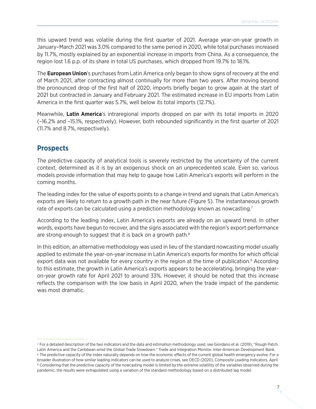this upward trend was volatile during the first quarter of 2021. Average year-on-year growth in January–March 2021 was 3.0% compared to the same period in 2020, while total purchases increased by 11.7%, mostly explained by an exponential increase in imports from China. As a consequence, the region lost 1.6 p.p. of its share in total US purchases, which dropped from 19.7% to 18.1%.

The **European Union**'s purchases from Latin America only began to show signs of recovery at the end of March 2021, after contracting almost continually for more than two years. After moving beyond the pronounced drop of the first half of 2020, imports briefly began to grow again at the start of 2021 but contracted in January and February 2021. The estimated increase in EU imports from Latin America in the first quarter was 5.7%, well below its total imports (12.7%).

Meanwhile, **Latin America**'s intraregional imports dropped on par with its total imports in 2020 (–16.2% and –15.1%, respectively). However, both rebounded significantly in the first quarter of 2021 (11.7% and 8.7%, respectively).

#### **Prospects**

The predictive capacity of analytical tools is severely restricted by the uncertainty of the current context, determined as it is by an exogenous shock on an unprecedented scale. Even so, various models provide information that may help to gauge how Latin America's exports will perform in the coming months.

The leading index for the value of exports points to a change in trend and signals that Latin America's exports are likely to return to a growth path in the near future (Figure 5). The instantaneous growth rate of exports can be calculated using a prediction methodology known as nowcasting.<sup>7</sup>

According to the leading index, Latin America's exports are already on an upward trend. In other words, exports have begun to recover, and the signs associated with the region's export performance are strong enough to suggest that it is back on a growth path.<sup>8</sup>

In this edition, an alternative methodology was used in lieu of the standard nowcasting model usually applied to estimate the year-on-year increase in Latin America's exports for months for which official export data was not available for every country in the region at the time of publication.<sup>9</sup> According to this estimate, the growth in Latin America's exports appears to be accelerating, bringing the yearon-year growth rate for April 2021 to around 33%. However, it should be noted that this increase reflects the comparison with the low basis in April 2020, when the trade impact of the pandemic was most dramatic.

<sup>7</sup> For a detailed description of the two indicators and the data and estimation methodology used, see Giordano et al. (2019), "Rough Patch. Latin America and the Caribbean amid the Global Trade Slowdown." Trade and Integration Monitor. Inter-American Development Bank.

<sup>&</sup>lt;sup>8</sup> The predictive capacity of the index naturally depends on how the economic effects of the current global health emergency evolve. For a broader illustration of how similar leading indicators can be used to analyze crises, see OECD (2020), Composite Leading Indicators, April. <sup>9</sup> Considering that the predictive capacity of the nowcasting model is limited by the extreme volatility of the variables observed during the pandemic, the results were extrapolated using a variation of the standard methodology based on a distributed lag model.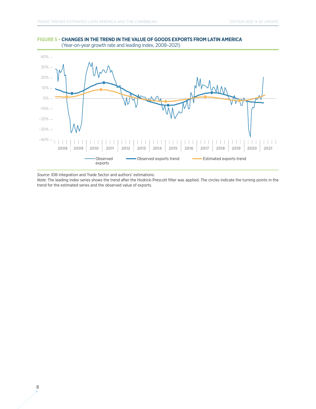



*Source*: IDB Integration and Trade Sector and authors' estimations.

*Note*: The leading index series shows the trend after the Hodrick-Prescott filter was applied. The circles indicate the turning points in the trend for the estimated series and the observed value of exports.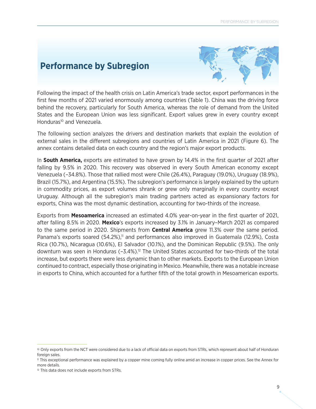### **Performance by Subregion**



Following the impact of the health crisis on Latin America's trade sector, export performances in the first few months of 2021 varied enormously among countries (Table 1). China was the driving force behind the recovery, particularly for South America, whereas the role of demand from the United States and the European Union was less significant. Export values grew in every country except Honduras<sup>10</sup> and Venezuela.

The following section analyzes the drivers and destination markets that explain the evolution of external sales in the different subregions and countries of Latin America in 2021 (Figure 6). The annex contains detailed data on each country and the region's major export products.

In **South America,** exports are estimated to have grown by 14.4% in the first quarter of 2021 after falling by 9.5% in 2020. This recovery was observed in every South American economy except Venezuela (–34.8%). Those that rallied most were Chile (26.4%), Paraguay (19.0%), Uruguay (18.9%), Brazil (15.7%), and Argentina (15.5%). The subregion's performance is largely explained by the upturn in commodity prices, as export volumes shrank or grew only marginally in every country except Uruguay. Although all the subregion's main trading partners acted as expansionary factors for exports, China was the most dynamic destination, accounting for two-thirds of the increase.

Exports from **Mesoamerica** increased an estimated 4.0% year-on-year in the first quarter of 2021, after falling 8.5% in 2020. **Mexico**'s exports increased by 3.1% in January–March 2021 as compared to the same period in 2020. Shipments from **Central America** grew 11.3% over the same period. Panama's exports soared (54.2%),<sup>11</sup> and performances also improved in Guatemala (12.9%), Costa Rica (10.7%), Nicaragua (10.6%), El Salvador (10.1%), and the Dominican Republic (9.5%). The only downturn was seen in Honduras  $(-3.4\%)$ .<sup>12</sup> The United States accounted for two-thirds of the total increase, but exports there were less dynamic than to other markets. Exports to the European Union continued to contract, especially those originating in Mexico. Meanwhile, there was a notable increase in exports to China, which accounted for a further fifth of the total growth in Mesoamerican exports.

<sup>10</sup> Only exports from the NCT were considered due to a lack of official data on exports from STRs, which represent about half of Honduran foreign sales.

<sup>11</sup> This exceptional performance was explained by a copper mine coming fully online amid an increase in copper prices. See the Annex for more details.

<sup>&</sup>lt;sup>12</sup> This data does not include exports from STRs.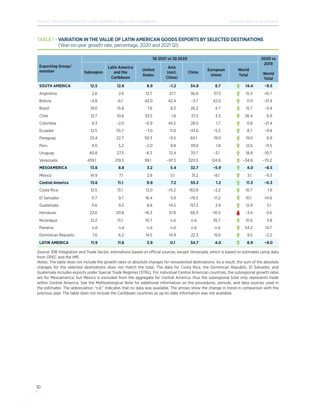#### **TABLE 1 • VARIATION IN THE VALUE OF LATIN AMERICAN GOODS EXPORTS BY SELECTED DESTINATIONS** (Year-on-year growth rate, percentage, 2020 and 2021 Q1)

|                                   | 1Q 2021 vs 1Q 2020 |                                                     |                                |                                 |              |                                 |                              | 2020 vs                              |
|-----------------------------------|--------------------|-----------------------------------------------------|--------------------------------|---------------------------------|--------------|---------------------------------|------------------------------|--------------------------------------|
| <b>Exporting Group/</b><br>member | <b>Subregion</b>   | <b>Latin America</b><br>and the<br><b>Caribbean</b> | <b>United</b><br><b>States</b> | <b>Asia</b><br>(excl.<br>China) | <b>China</b> | <b>European</b><br><b>Union</b> | <b>World</b><br><b>Total</b> | 2019<br><b>World</b><br><b>Total</b> |
| <b>SOUTH AMERICA</b>              | 12.5               | 12.6                                                | 8.9                            | $-1.2$                          | 34.8         | 8.7                             | 14.4<br>♠                    | $-9.5$                               |
| Argentina                         | 2.6                | 2.6                                                 | 12.7                           | 21.7                            | 36.8         | 37.3                            | ♠<br>15.5                    | $-15.7$                              |
| <b>Bolivia</b>                    | $-4.8$             | $-6.1$                                              | 42.0                           | 42.4                            | $-3.7$       | 42.0                            | ♠<br>11.0                    | $-21.4$                              |
| <b>Brazil</b>                     | 19.0               | 15.8                                                | 7.6                            | 8.3                             | 26.2         | 4.7                             | ♠<br>15.7                    | $-5.4$                               |
| Chile                             | 12.7               | 10.6                                                | 33.5                           | 1.8                             | 57.2         | 3.3                             | ♠<br>26.4                    | 6.9                                  |
| Colombia                          | 8.3                | $-2.0$                                              | $-0.9$                         | 45.5                            | 28.0         | 1.7                             | ♠<br>0.8                     | $-21.4$                              |
| Ecuador                           | 12.5               | 55.7                                                | $-7.0$                         | 11.0                            | $-33.6$      | $-5.2$                          | ♠<br>8.7                     | $-9.4$                               |
| Paraguay                          | 23.4               | 22.7                                                | 50.3                           | $-9.5$                          | 60.1         | 19.0                            | ♠<br>19.0                    | 6.9                                  |
| Peru                              | 4.0                | 5.2                                                 | $-2.0$                         | 9.8                             | 39.0         | 1.8                             | ♠<br>12.6                    | $-11.5$                              |
| Uruguay                           | 40.8               | 27.5                                                | $-6.3$                         | 12.4                            | 70.7         | $-3.1$                          | ♠<br>18.9                    | $-10.7$                              |
| Venezuela                         | 439.1              | 219.5                                               | 99.1                           | $-97.3$                         | 320.5        | 124.8                           | ♠<br>$-34.8$                 | $-70.2$                              |
| <b>MESOAMERICA</b>                | 13.6               | 8.8                                                 | 3.2                            | 5.4                             | 32.7         | $-5.9$                          | ♠<br>4.0                     | $-8.5$                               |
| Mexico                            | 14.9               | 7.1                                                 | 2.8                            | 5.1                             | 31.2         | $-8.1$                          | ♠<br>3.1                     | $-9.3$                               |
| <b>Central America</b>            | 13.6               | 11.1                                                | 9.9                            | 7.2                             | 55.3         | 1.2                             | ♠<br>11.3                    | $-0.3$                               |
| Costa Rica                        | 12.5               | 13.1                                                | 12.0                           | $-15.2$                         | 162.8        | $-2.2$                          | ♠<br>10.7                    | 1.9                                  |
| El Salvador                       | 11.7               | 9.7                                                 | 16.4                           | 5.9                             | $-78.5$      | $-11.2$                         | ♠<br>10.1                    | $-14.6$                              |
| Guatemala                         | 11.6               | 9.3                                                 | 8.8                            | 14.5                            | 157.3        | 2.9                             | ♠<br>12.9                    | 3.1                                  |
| Honduras                          | 22.6               | 20.8                                                | $-16.3$                        | 37.8                            | 66.3         | $-10.5$                         | ┸<br>$-3.4$                  | 0.6                                  |
| Nicaragua                         | 12.2               | 13.1                                                | 10.7                           | n.d.                            | n.d.         | 35.7                            | ♠<br>10.6                    | 5.8                                  |
| Panama                            | n.d.               | n.d.                                                | n.d.                           | n.d.                            | n.d.         | n.d.                            | ♠<br>54.2                    | 14.7                                 |
| Dominican Republic                | 7.6                | 6.2                                                 | 14.5                           | 14.9                            | 22.3         | 15.6                            | ♠<br>9.5                     | $-2.2$                               |
| <b>LATIN AMERICA</b>              | 11.9               | 11.6                                                | 3.9                            | 0.1                             | 34.7         | 4.0                             | 8.9                          | $-9.0$                               |

*Source*: IDB Integration and Trade Sector, estimations based on official sources, except Venezuela, which is based on estimates using data from OPEC and the IMF.

*Notes*: The table does not include the growth rates or absolute changes for nonselected destinations. As a result, the sum of the absolute changes for the selected destinations does not match the total. The data for Costa Rica, the Dominican Republic, El Salvador, and Guatemala includes exports under Special Trade Regimes (STRs). For individual Central American countries, the subregional growth rates are for Mesoamerica, but Mexico is excluded from the aggregate for Central America, thus the subregional total only represents trade within Central America. See the Methodological Note for additional information on the procedures, periods, and data sources used in the estimates. The abbreviation "n.d." indicates that no data was available. The arrows show the change in trend in comparison with the previous year. The table does not include the Caribbean countries as up-to-date information was not available.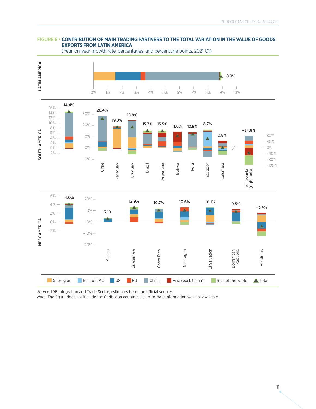#### **FIGURE 6 • CONTRIBUTION OF MAIN TRADING PARTNERS TO THE TOTAL VARIATION IN THE VALUE OF GOODS EXPORTS FROM LATIN AMERICA**



(Year-on-year growth rate, percentages, and percentage points, 2021 Q1)

*Source*: IDB Integration and Trade Sector, estimates based on official sources.

*Note*: The figure does not include the Caribbean countries as up-to-date information was not available.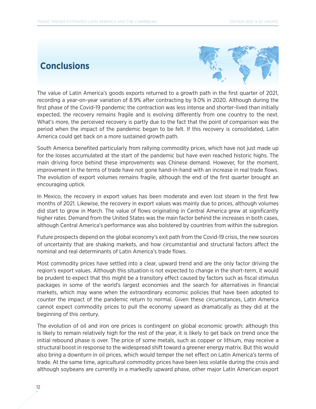### **Conclusions**



The value of Latin America's goods exports returned to a growth path in the first quarter of 2021, recording a year-on-year variation of 8.9% after contracting by 9.0% in 2020. Although during the first phase of the Covid-19 pandemic the contraction was less intense and shorter-lived than initially expected, the recovery remains fragile and is evolving differently from one country to the next. What's more, the perceived recovery is partly due to the fact that the point of comparison was the period when the impact of the pandemic began to be felt. If this recovery is consolidated, Latin America could get back on a more sustained growth path.

South America benefited particularly from rallying commodity prices, which have not just made up for the losses accumulated at the start of the pandemic but have even reached historic highs. The main driving force behind these improvements was Chinese demand. However, for the moment, improvement in the terms of trade have not gone hand-in-hand with an increase in real trade flows. The evolution of export volumes remains fragile, although the end of the first quarter brought an encouraging uptick.

In Mexico, the recovery in export values has been moderate and even lost steam in the first few months of 2021. Likewise, the recovery in export values was mainly due to prices, although volumes did start to grow in March. The value of flows originating in Central America grew at significantly higher rates. Demand from the United States was the main factor behind the increases in both cases, although Central America's performance was also bolstered by countries from within the subregion.

Future prospects depend on the global economy's exit path from the Covid-19 crisis, the new sources of uncertainty that are shaking markets, and how circumstantial and structural factors affect the nominal and real determinants of Latin America's trade flows.

Most commodity prices have settled into a clear, upward trend and are the only factor driving the region's export values. Although this situation is not expected to change in the short-term, it would be prudent to expect that this might be a transitory effect caused by factors such as fiscal stimulus packages in some of the world's largest economies and the search for alternatives in financial markets, which may wane when the extraordinary economic policies that have been adopted to counter the impact of the pandemic return to normal. Given these circumstances, Latin America cannot expect commodity prices to pull the economy upward as dramatically as they did at the beginning of this century.

The evolution of oil and iron ore prices is contingent on global economic growth: although this is likely to remain relatively high for the rest of the year, it is likely to get back on trend once the initial rebound phase is over. The price of some metals, such as copper or lithium, may receive a structural boost in response to the widespread shift toward a greener energy matrix. But this would also bring a downturn in oil prices, which would temper the net effect on Latin America's terms of trade. At the same time, agricultural commodity prices have been less volatile during the crisis and although soybeans are currently in a markedly upward phase, other major Latin American export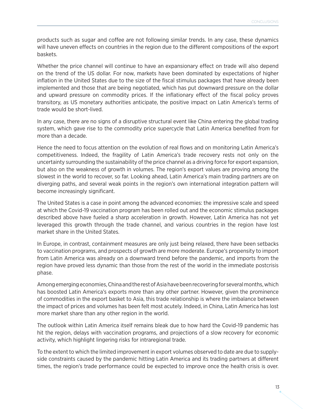products such as sugar and coffee are not following similar trends. In any case, these dynamics will have uneven effects on countries in the region due to the different compositions of the export baskets.

Whether the price channel will continue to have an expansionary effect on trade will also depend on the trend of the US dollar. For now, markets have been dominated by expectations of higher inflation in the United States due to the size of the fiscal stimulus packages that have already been implemented and those that are being negotiated, which has put downward pressure on the dollar and upward pressure on commodity prices. If the inflationary effect of the fiscal policy proves transitory, as US monetary authorities anticipate, the positive impact on Latin America's terms of trade would be short-lived.

In any case, there are no signs of a disruptive structural event like China entering the global trading system, which gave rise to the commodity price supercycle that Latin America benefited from for more than a decade.

Hence the need to focus attention on the evolution of real flows and on monitoring Latin America's competitiveness. Indeed, the fragility of Latin America's trade recovery rests not only on the uncertainty surrounding the sustainability of the price channel as a driving force for export expansion, but also on the weakness of growth in volumes. The region's export values are proving among the slowest in the world to recover, so far. Looking ahead, Latin America's main trading partners are on diverging paths, and several weak points in the region's own international integration pattern will become increasingly significant.

The United States is a case in point among the advanced economies: the impressive scale and speed at which the Covid-19 vaccination program has been rolled out and the economic stimulus packages described above have fueled a sharp acceleration in growth. However, Latin America has not yet leveraged this growth through the trade channel, and various countries in the region have lost market share in the United States.

In Europe, in contrast, containment measures are only just being relaxed, there have been setbacks to vaccination programs, and prospects of growth are more moderate. Europe's propensity to import from Latin America was already on a downward trend before the pandemic, and imports from the region have proved less dynamic than those from the rest of the world in the immediate postcrisis phase.

Among emerging economies, China and the rest of Asia have been recovering for several months, which has boosted Latin America's exports more than any other partner. However, given the prominence of commodities in the export basket to Asia, this trade relationship is where the imbalance between the impact of prices and volumes has been felt most acutely. Indeed, in China, Latin America has lost more market share than any other region in the world.

The outlook within Latin America itself remains bleak due to how hard the Covid-19 pandemic has hit the region, delays with vaccination programs, and projections of a slow recovery for economic activity, which highlight lingering risks for intraregional trade.

To the extent to which the limited improvement in export volumes observed to date are due to supplyside constraints caused by the pandemic hitting Latin America and its trading partners at different times, the region's trade performance could be expected to improve once the health crisis is over.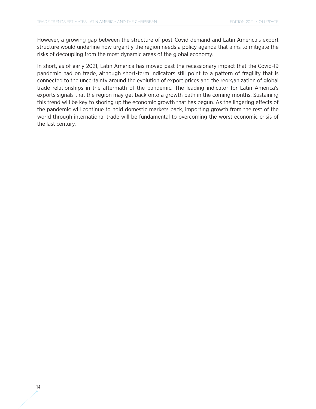However, a growing gap between the structure of post-Covid demand and Latin America's export structure would underline how urgently the region needs a policy agenda that aims to mitigate the risks of decoupling from the most dynamic areas of the global economy.

In short, as of early 2021, Latin America has moved past the recessionary impact that the Covid-19 pandemic had on trade, although short-term indicators still point to a pattern of fragility that is connected to the uncertainty around the evolution of export prices and the reorganization of global trade relationships in the aftermath of the pandemic. The leading indicator for Latin America's exports signals that the region may get back onto a growth path in the coming months. Sustaining this trend will be key to shoring up the economic growth that has begun. As the lingering effects of the pandemic will continue to hold domestic markets back, importing growth from the rest of the world through international trade will be fundamental to overcoming the worst economic crisis of the last century.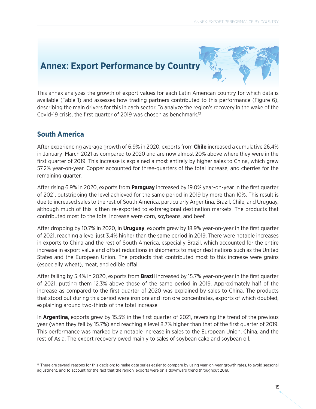### **Annex: Export Performance by Country**



This annex analyzes the growth of export values for each Latin American country for which data is available (Table 1) and assesses how trading partners contributed to this performance (Figure 6), describing the main drivers for this in each sector. To analyze the region's recovery in the wake of the Covid-19 crisis, the first quarter of 2019 was chosen as benchmark.13

#### **South America**

After experiencing average growth of 6.9% in 2020, exports from **Chile** increased a cumulative 26.4% in January–March 2021 as compared to 2020 and are now almost 20% above where they were in the first quarter of 2019. This increase is explained almost entirely by higher sales to China, which grew 57.2% year-on-year. Copper accounted for three-quarters of the total increase, and cherries for the remaining quarter.

After rising 6.9% in 2020, exports from **Paraguay** increased by 19.0% year-on-year in the first quarter of 2021, outstripping the level achieved for the same period in 2019 by more than 10%. This result is due to increased sales to the rest of South America, particularly Argentina, Brazil, Chile, and Uruguay, although much of this is then re-exported to extraregional destination markets. The products that contributed most to the total increase were corn, soybeans, and beef.

After dropping by 10.7% in 2020, in **Uruguay**, exports grew by 18.9% year-on-year in the first quarter of 2021, reaching a level just 3.4% higher than the same period in 2019. There were notable increases in exports to China and the rest of South America, especially Brazil, which accounted for the entire increase in export value and offset reductions in shipments to major destinations such as the United States and the European Union. The products that contributed most to this increase were grains (especially wheat), meat, and edible offal.

After falling by 5.4% in 2020, exports from **Brazil** increased by 15.7% year-on-year in the first quarter of 2021, putting them 12.3% above those of the same period in 2019. Approximately half of the increase as compared to the first quarter of 2020 was explained by sales to China. The products that stood out during this period were iron ore and iron ore concentrates, exports of which doubled, explaining around two-thirds of the total increase.

In **Argentina**, exports grew by 15.5% in the first quarter of 2021, reversing the trend of the previous year (when they fell by 15.7%) and reaching a level 8.7% higher than that of the first quarter of 2019. This performance was marked by a notable increase in sales to the European Union, China, and the rest of Asia. The export recovery owed mainly to sales of soybean cake and soybean oil.

<sup>&</sup>lt;sup>13</sup> There are several reasons for this decision: to make data series easier to compare by using year-on-year growth rates, to avoid seasonal adjustment, and to account for the fact that the region' exports were on a downward trend throughout 2019.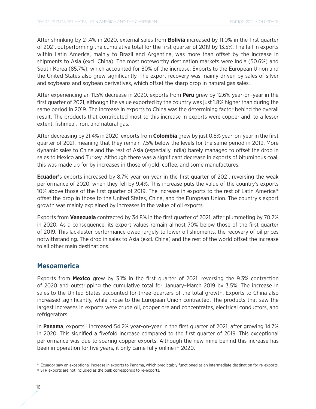After shrinking by 21.4% in 2020, external sales from **Bolivia** increased by 11.0% in the first quarter of 2021, outperforming the cumulative total for the first quarter of 2019 by 13.5%. The fall in exports within Latin America, mainly to Brazil and Argentina, was more than offset by the increase in shipments to Asia (excl. China). The most noteworthy destination markets were India (50.6%) and South Korea (85.7%), which accounted for 80% of the increase. Exports to the European Union and the United States also grew significantly. The export recovery was mainly driven by sales of silver and soybeans and soybean derivatives, which offset the sharp drop in natural gas sales.

After experiencing an 11.5% decrease in 2020, exports from **Peru** grew by 12.6% year-on-year in the first quarter of 2021, although the value exported by the country was just 1.8% higher than during the same period in 2019. The increase in exports to China was the determining factor behind the overall result. The products that contributed most to this increase in exports were copper and, to a lesser extent, fishmeal, iron, and natural gas.

After decreasing by 21.4% in 2020, exports from **Colombia** grew by just 0.8% year-on-year in the first quarter of 2021, meaning that they remain 7.5% below the levels for the same period in 2019. More dynamic sales to China and the rest of Asia (especially India) barely managed to offset the drop in sales to Mexico and Turkey. Although there was a significant decrease in exports of bituminous coal, this was made up for by increases in those of gold, coffee, and some manufactures.

**Ecuador'**s exports increased by 8.7% year-on-year in the first quarter of 2021, reversing the weak performance of 2020, when they fell by 9.4%. This increase puts the value of the country's exports 10% above those of the first quarter of 2019. The increase in exports to the rest of Latin America<sup>14</sup> offset the drop in those to the United States, China, and the European Union. The country's export growth was mainly explained by increases in the value of oil exports.

Exports from **Venezuela** contracted by 34.8% in the first quarter of 2021, after plummeting by 70.2% in 2020. As a consequence, its export values remain almost 70% below those of the first quarter of 2019. This lackluster performance owed largely to lower oil shipments, the recovery of oil prices notwithstanding. The drop in sales to Asia (excl. China) and the rest of the world offset the increase to all other main destinations.

#### **Mesoamerica**

Exports from **Mexico** grew by 3.1% in the first quarter of 2021, reversing the 9.3% contraction of 2020 and outstripping the cumulative total for January–March 2019 by 3.5%. The increase in sales to the United States accounted for three-quarters of the total growth. Exports to China also increased significantly, while those to the European Union contracted. The products that saw the largest increases in exports were crude oil, copper ore and concentrates, electrical conductors, and refrigerators.

In **Panama**, exports<sup>15</sup> increased 54.2% year-on-year in the first quarter of 2021, after growing 14.7% in 2020. This signified a fivefold increase compared to the first quarter of 2019. This exceptional performance was due to soaring copper exports. Although the new mine behind this increase has been in operation for five years, it only came fully online in 2020.

<sup>&</sup>lt;sup>14</sup> Ecuador saw an exceptional increase in exports to Panama, which predictably functioned as an intermediate destination for re-exports.

<sup>&</sup>lt;sup>15</sup> STR exports are not included as the bulk corresponds to re-exports.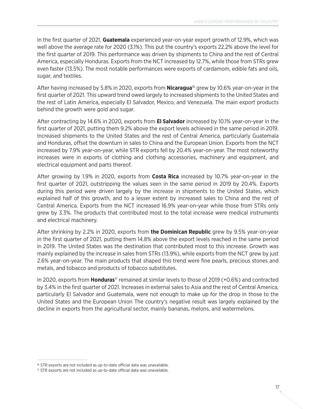In the first quarter of 2021, **Guatemala** experienced year-on-year export growth of 12.9%, which was well above the average rate for 2020 (3.1%). This put the country's exports 22.2% above the level for the first quarter of 2019. This performance was driven by shipments to China and the rest of Central America, especially Honduras. Exports from the NCT increased by 12.7%, while those from STRs grew even faster (13.5%). The most notable performances were exports of cardamom, edible fats and oils, sugar, and textiles.

After having increased by 5.8% in 2020, exports from **Nicaragua**16 grew by 10.6% year-on-year in the first quarter of 2021. This upward trend owed largely to increased shipments to the United States and the rest of Latin America, especially El Salvador, Mexico, and Venezuela. The main export products behind the growth were gold and sugar.

After contracting by 14.6% in 2020, exports from **El Salvador** increased by 10.1% year-on-year in the first quarter of 2021, putting them 9.2% above the export levels achieved in the same period in 2019. Increased shipments to the United States and the rest of Central America, particularly Guatemala and Honduras, offset the downturn in sales to China and the European Union. Exports from the NCT increased by 7.9% year-on-year, while STR exports fell by 20.4% year-on-year. The most noteworthy increases were in exports of clothing and clothing accessories, machinery and equipment, and electrical equipment and parts thereof.

After growing by 1.9% in 2020, exports from **Costa Rica** increased by 10.7% year-on-year in the first quarter of 2021, outstripping the values seen in the same period in 2019 by 20.4%. Exports during this period were driven largely by the increase in shipments to the United States, which explained half of this growth, and to a lesser extent by increased sales to China and the rest of Central America. Exports from the NCT increased 16.9% year-on-year while those from STRs only grew by 3.3%. The products that contributed most to the total increase were medical instruments and electrical machinery.

After shrinking by 2.2% in 2020, exports from **the Dominican Republic** grew by 9.5% year-on-year in the first quarter of 2021, putting them 14.8% above the export levels reached in the same period in 2019. The United States was the destination that contributed most to this increase. Growth was mainly explained by the increase in sales from STRs (13.9%), while exports from the NCT grew by just 2.6% year-on-year. The main products that shaped this trend were fine pearls, precious stones and metals, and tobacco and products of tobacco substitutes.

In 2020, exports from **Honduras**17 remained at similar levels to those of 2019 (+0.6%) and contracted by 3.4% in the first quarter of 2021. Increases in external sales to Asia and the rest of Central America, particularly El Salvador and Guatemala, were not enough to make up for the drop in those to the United States and the European Union The country's negative result was largely explained by the decline in exports from the agricultural sector, mainly bananas, melons, and watermelons.

<sup>&</sup>lt;sup>16</sup> STR exports are not included as up-to-date official data was unavailable.

<sup>&</sup>lt;sup>17</sup> STR exports are not included as up-to-date official data was unavailable.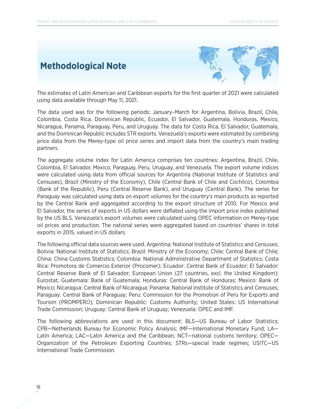### **Methodological Note**



The estimates of Latin American and Caribbean exports for the first quarter of 2021 were calculated using data available through May 11, 2021.

The data used was for the following periods: January–March for Argentina, Bolivia, Brazil, Chile, Colombia, Costa Rica, Dominican Republic, Ecuador, El Salvador, Guatemala, Honduras, Mexico, Nicaragua, Panama, Paraguay, Peru, and Uruguay. The data for Costa Rica, El Salvador, Guatemala, and the Dominican Republic includes STR exports. Venezuela's exports were estimated by combining price data from the Merey-type oil price series and import data from the country's main trading partners.

The aggregate volume index for Latin America comprises ten countries: Argentina, Brazil, Chile, Colombia, El Salvador, Mexico, Paraguay, Peru, Uruguay, and Venezuela. The export volume indices were calculated using data from official sources for Argentina (National Institute of Statistics and Censuses), Brazil (Ministry of the Economy), Chile (Central Bank of Chile and Cochilco), Colombia (Bank of the Republic), Peru (Central Reserve Bank), and Uruguay (Central Bank). The series for Paraguay was calculated using data on export volumes for the country's main products as reported by the Central Bank and aggregated according to the export structure of 2010. For Mexico and El Salvador, the series of exports in US dollars were deflated using the import price index published by the US BLS. Venezuela's export volumes were calculated using OPEC information on Merey-type oil prices and production. The national series were aggregated based on countries' shares in total exports in 2015, valued in US dollars.

The following official data sources were used. Argentina: National Institute of Statistics and Censuses; Bolivia: National Institute of Statistics; Brazil: Ministry of the Economy; Chile: Central Bank of Chile; China: China Customs Statistics; Colombia: National Administrative Department of Statistics; Costa Rica: Promotora de Comercio Exterior (Procomer); Ecuador: Central Bank of Ecuador; El Salvador: Central Reserve Bank of El Salvador; European Union (27 countries, excl. the United Kingdom): Eurostat; Guatemala: Bank of Guatemala; Honduras: Central Bank of Honduras; Mexico: Bank of Mexico; Nicaragua: Central Bank of Nicaragua; Panama: National Institute of Statistics and Censuses; Paraguay: Central Bank of Paraguay; Peru: Commission for the Promotion of Peru for Exports and Tourism (PROMPERÚ); Dominican Republic: Customs Authority; United States: US International Trade Commission; Uruguay: Central Bank of Uruguay; Venezuela: OPEC and IMF.

The following abbreviations are used in this document: BLS—US Bureau of Labor Statistics; CPB—Netherlands Bureau for Economic Policy Analysis; IMF—International Monetary Fund; LA— Latin America; LAC—Latin America and the Caribbean; NCT—national customs territory; OPEC— Organization of the Petroleum Exporting Countries; STRs—special trade regimes; USITC—US International Trade Commission.